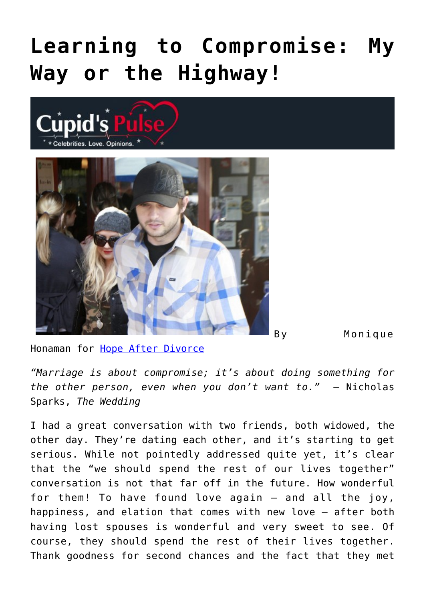## **[Learning to Compromise: My](https://cupidspulse.com/70895/hope-after-divorce-monique-honaman-compromise/) [Way or the Highway!](https://cupidspulse.com/70895/hope-after-divorce-monique-honaman-compromise/)**





By Monique

Honaman for [Hope After Divorce](http://www.hopeafterdivorce.org/)

*"Marriage is about compromise; it's about doing something for the other person, even when you don't want to."* – Nicholas Sparks, *The Wedding*

I had a great conversation with two friends, both widowed, the other day. They're dating each other, and it's starting to get serious. While not pointedly addressed quite yet, it's clear that the "we should spend the rest of our lives together" conversation is not that far off in the future. How wonderful for them! To have found love again — and all the joy, happiness, and elation that comes with new love — after both having lost spouses is wonderful and very sweet to see. Of course, they should spend the rest of their lives together. Thank goodness for second chances and the fact that they met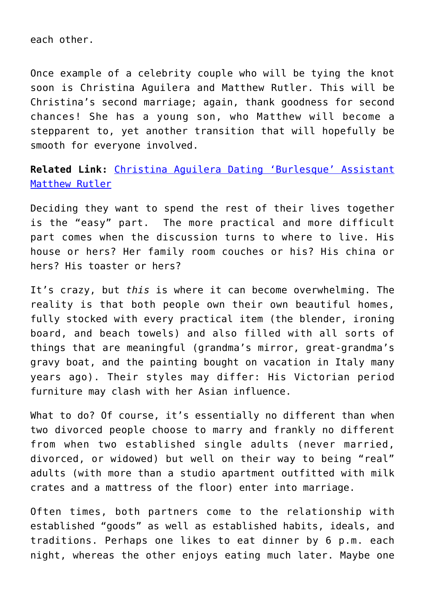each other.

Once example of a celebrity couple who will be tying the knot soon is Christina Aguilera and Matthew Rutler. This will be Christina's second marriage; again, thank goodness for second chances! She has a young son, who Matthew will become a stepparent to, yet another transition that will hopefully be smooth for everyone involved.

**Related Link:** [Christina Aguilera Dating 'Burlesque' Assistant](http://cupidspulse.com/christina-aguilera-dates-‘burlesque’-assistant-matthew-rutler/) [Matthew Rutler](http://cupidspulse.com/christina-aguilera-dates-‘burlesque’-assistant-matthew-rutler/)

Deciding they want to spend the rest of their lives together is the "easy" part. The more practical and more difficult part comes when the discussion turns to where to live. His house or hers? Her family room couches or his? His china or hers? His toaster or hers?

It's crazy, but *this* is where it can become overwhelming. The reality is that both people own their own beautiful homes, fully stocked with every practical item (the blender, ironing board, and beach towels) and also filled with all sorts of things that are meaningful (grandma's mirror, great-grandma's gravy boat, and the painting bought on vacation in Italy many years ago). Their styles may differ: His Victorian period furniture may clash with her Asian influence.

What to do? Of course, it's essentially no different than when two divorced people choose to marry and frankly no different from when two established single adults (never married, divorced, or widowed) but well on their way to being "real" adults (with more than a studio apartment outfitted with milk crates and a mattress of the floor) enter into marriage.

Often times, both partners come to the relationship with established "goods" as well as established habits, ideals, and traditions. Perhaps one likes to eat dinner by 6 p.m. each night, whereas the other enjoys eating much later. Maybe one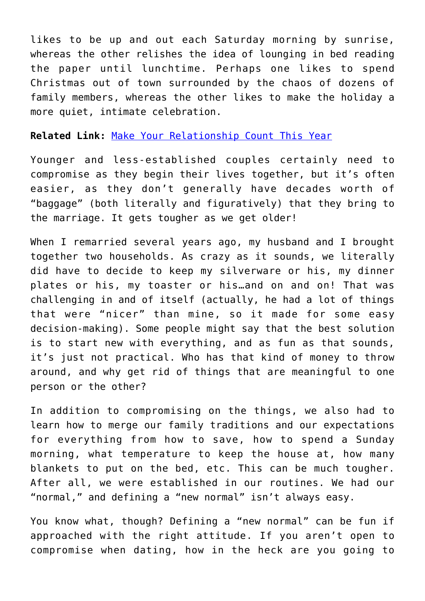likes to be up and out each Saturday morning by sunrise, whereas the other relishes the idea of lounging in bed reading the paper until lunchtime. Perhaps one likes to spend Christmas out of town surrounded by the chaos of dozens of family members, whereas the other likes to make the holiday a more quiet, intimate celebration.

## **Related Link:** [Make Your Relationship Count This Year](http://cupidspulse.com/make-your-relationship-count-lydia-belton/)

Younger and less-established couples certainly need to compromise as they begin their lives together, but it's often easier, as they don't generally have decades worth of "baggage" (both literally and figuratively) that they bring to the marriage. It gets tougher as we get older!

When I remarried several years ago, my husband and I brought together two households. As crazy as it sounds, we literally did have to decide to keep my silverware or his, my dinner plates or his, my toaster or his…and on and on! That was challenging in and of itself (actually, he had a lot of things that were "nicer" than mine, so it made for some easy decision-making). Some people might say that the best solution is to start new with everything, and as fun as that sounds, it's just not practical. Who has that kind of money to throw around, and why get rid of things that are meaningful to one person or the other?

In addition to compromising on the things, we also had to learn how to merge our family traditions and our expectations for everything from how to save, how to spend a Sunday morning, what temperature to keep the house at, how many blankets to put on the bed, etc. This can be much tougher. After all, we were established in our routines. We had our "normal," and defining a "new normal" isn't always easy.

You know what, though? Defining a "new normal" can be fun if approached with the right attitude. If you aren't open to compromise when dating, how in the heck are you going to